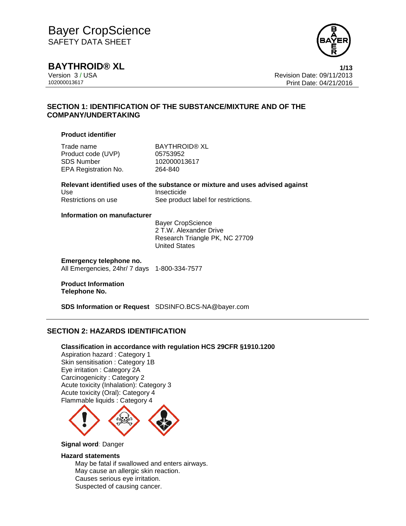

**BAYTHROID® XL 1/13**

Version 3 / USA Revision Date: 09/11/2013 102000013617 Print Date: 04/21/2016

# **SECTION 1: IDENTIFICATION OF THE SUBSTANCE/MIXTURE AND OF THE COMPANY/UNDERTAKING**

#### **Product identifier**

Trade name BAYTHROID® XL Product code (UVP) 05753952 SDS Number 102000013617 EPA Registration No. 264-840

#### **Relevant identified uses of the substance or mixture and uses advised against** Use Insecticide Restrictions on use See product label for restrictions.

#### **Information on manufacturer**

Bayer CropScience 2 T.W. Alexander Drive Research Triangle PK, NC 27709 United States

**Emergency telephone no.** All Emergencies, 24hr/ 7 days 1-800-334-7577

#### **Product Information Telephone No.**

**SDS Information or Request** SDSINFO.BCS-NA@bayer.com

# **SECTION 2: HAZARDS IDENTIFICATION**

## **Classification in accordance with regulation HCS 29CFR §1910.1200**

Aspiration hazard : Category 1 Skin sensitisation : Category 1B Eye irritation : Category 2A Carcinogenicity : Category 2 Acute toxicity (Inhalation): Category 3 Acute toxicity (Oral): Category 4 Flammable liquids : Category 4



### **Signal word**: Danger

#### **Hazard statements**

May be fatal if swallowed and enters airways. May cause an allergic skin reaction. Causes serious eye irritation. Suspected of causing cancer.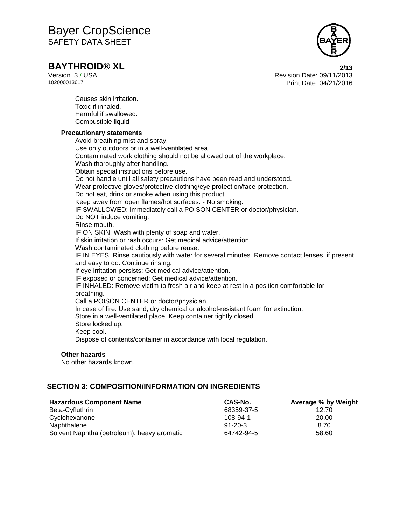

# **BAYTHROID® XL 2/13**

Version 3 / USA Revision Date: 09/11/2013<br>102000013617 Print Date: 04/21/2014 Print Date: 04/21/2016

Causes skin irritation. Toxic if inhaled. Harmful if swallowed. Combustible liquid **Precautionary statements** Avoid breathing mist and spray. Use only outdoors or in a well-ventilated area. Contaminated work clothing should not be allowed out of the workplace. Wash thoroughly after handling. Obtain special instructions before use. Do not handle until all safety precautions have been read and understood. Wear protective gloves/protective clothing/eye protection/face protection. Do not eat, drink or smoke when using this product. Keep away from open flames/hot surfaces. - No smoking. IF SWALLOWED: Immediately call a POISON CENTER or doctor/physician. Do NOT induce vomiting. Rinse mouth. IF ON SKIN: Wash with plenty of soap and water. If skin irritation or rash occurs: Get medical advice/attention. Wash contaminated clothing before reuse. IF IN EYES: Rinse cautiously with water for several minutes. Remove contact lenses, if present and easy to do. Continue rinsing. If eye irritation persists: Get medical advice/attention. IF exposed or concerned: Get medical advice/attention. IF INHALED: Remove victim to fresh air and keep at rest in a position comfortable for breathing. Call a POISON CENTER or doctor/physician. In case of fire: Use sand, dry chemical or alcohol-resistant foam for extinction. Store in a well-ventilated place. Keep container tightly closed. Store locked up. Keep cool. Dispose of contents/container in accordance with local regulation.

#### **Other hazards**

No other hazards known.

# **SECTION 3: COMPOSITION/INFORMATION ON INGREDIENTS**

| <b>Hazardous Component Name</b>             | CAS-No.       | Average % by Weight |
|---------------------------------------------|---------------|---------------------|
| Beta-Cyfluthrin                             | 68359-37-5    | 12.70               |
| Cyclohexanone                               | 108-94-1      | 20.00               |
| Naphthalene                                 | $91 - 20 - 3$ | 8.70                |
| Solvent Naphtha (petroleum), heavy aromatic | 64742-94-5    | 58.60               |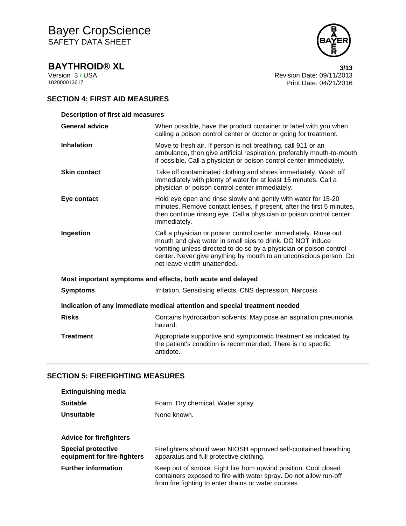**BAYTHROID® XL**<br>Version 3/USA **3/13**<br>Revision Date: 09/11/2013 Version 3 / USA **Version 3 / USA** Revision Date: 09/11/2013<br>102000013617 Print Date: 04/21/2016 Print Date: 04/21/2016

# **SECTION 4: FIRST AID MEASURES**

| <b>Description of first aid measures</b>                                   |                                                                                                                                                                                                                                                                                                           |  |
|----------------------------------------------------------------------------|-----------------------------------------------------------------------------------------------------------------------------------------------------------------------------------------------------------------------------------------------------------------------------------------------------------|--|
| <b>General advice</b>                                                      | When possible, have the product container or label with you when<br>calling a poison control center or doctor or going for treatment.                                                                                                                                                                     |  |
| <b>Inhalation</b>                                                          | Move to fresh air. If person is not breathing, call 911 or an<br>ambulance, then give artificial respiration, preferably mouth-to-mouth<br>if possible. Call a physician or poison control center immediately.                                                                                            |  |
| <b>Skin contact</b>                                                        | Take off contaminated clothing and shoes immediately. Wash off<br>immediately with plenty of water for at least 15 minutes. Call a<br>physician or poison control center immediately.                                                                                                                     |  |
| Eye contact                                                                | Hold eye open and rinse slowly and gently with water for 15-20<br>minutes. Remove contact lenses, if present, after the first 5 minutes,<br>then continue rinsing eye. Call a physician or poison control center<br>immediately.                                                                          |  |
| Ingestion                                                                  | Call a physician or poison control center immediately. Rinse out<br>mouth and give water in small sips to drink. DO NOT induce<br>vomiting unless directed to do so by a physician or poison control<br>center. Never give anything by mouth to an unconscious person. Do<br>not leave victim unattended. |  |
| Most important symptoms and effects, both acute and delayed                |                                                                                                                                                                                                                                                                                                           |  |
| <b>Symptoms</b>                                                            | Irritation, Sensitising effects, CNS depression, Narcosis                                                                                                                                                                                                                                                 |  |
| Indication of any immediate medical attention and special treatment needed |                                                                                                                                                                                                                                                                                                           |  |
| <b>Risks</b>                                                               | Contains hydrocarbon solvents. May pose an aspiration pneumonia<br>hazard.                                                                                                                                                                                                                                |  |
| <b>Treatment</b>                                                           | Appropriate supportive and symptomatic treatment as indicated by<br>the patient's condition is recommended. There is no specific<br>antidote.                                                                                                                                                             |  |

## **SECTION 5: FIREFIGHTING MEASURES**

| <b>Extinguishing media</b>                               |                                                                                                                                                                                              |
|----------------------------------------------------------|----------------------------------------------------------------------------------------------------------------------------------------------------------------------------------------------|
| <b>Suitable</b>                                          | Foam, Dry chemical, Water spray                                                                                                                                                              |
| Unsuitable                                               | None known.                                                                                                                                                                                  |
|                                                          |                                                                                                                                                                                              |
| <b>Advice for firefighters</b>                           |                                                                                                                                                                                              |
| <b>Special protective</b><br>equipment for fire-fighters | Firefighters should wear NIOSH approved self-contained breathing<br>apparatus and full protective clothing.                                                                                  |
| <b>Further information</b>                               | Keep out of smoke. Fight fire from upwind position. Cool closed<br>containers exposed to fire with water spray. Do not allow run-off<br>from fire fighting to enter drains or water courses. |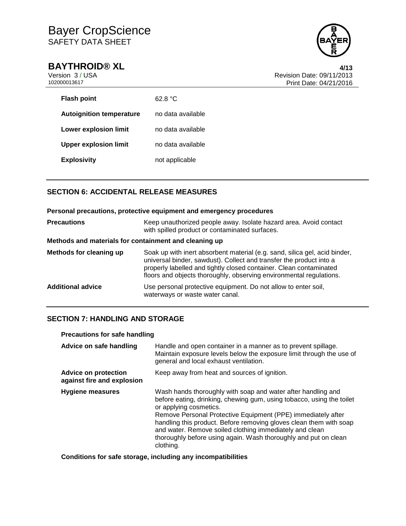

**BAYTHROID® XL 4/13**

Version 3 / USA Revision Date: 09/11/2013 Print Date: 04/21/2016

| <b>Flash point</b>              | 62.8 °C           |
|---------------------------------|-------------------|
| <b>Autoignition temperature</b> | no data available |
| <b>Lower explosion limit</b>    | no data available |
| <b>Upper explosion limit</b>    | no data available |
| <b>Explosivity</b>              | not applicable    |

# **SECTION 6: ACCIDENTAL RELEASE MEASURES**

**Personal precautions, protective equipment and emergency procedures Precautions** Keep unauthorized people away. Isolate hazard area. Avoid contact with spilled product or contaminated surfaces. **Methods and materials for containment and cleaning up Methods for cleaning up** Soak up with inert absorbent material (e.g. sand, silica gel, acid binder, universal binder, sawdust). Collect and transfer the product into a properly labelled and tightly closed container. Clean contaminated floors and objects thoroughly, observing environmental regulations. **Additional advice** Use personal protective equipment. Do not allow to enter soil, waterways or waste water canal.

# **SECTION 7: HANDLING AND STORAGE**

| Advice on safe handling                                   | Handle and open container in a manner as to prevent spillage.<br>Maintain exposure levels below the exposure limit through the use of<br>general and local exhaust ventilation.                                                                                                                                                                                                                                                                  |
|-----------------------------------------------------------|--------------------------------------------------------------------------------------------------------------------------------------------------------------------------------------------------------------------------------------------------------------------------------------------------------------------------------------------------------------------------------------------------------------------------------------------------|
| <b>Advice on protection</b><br>against fire and explosion | Keep away from heat and sources of ignition.                                                                                                                                                                                                                                                                                                                                                                                                     |
| Hygiene measures                                          | Wash hands thoroughly with soap and water after handling and<br>before eating, drinking, chewing gum, using tobacco, using the toilet<br>or applying cosmetics.<br>Remove Personal Protective Equipment (PPE) immediately after<br>handling this product. Before removing gloves clean them with soap<br>and water. Remove soiled clothing immediately and clean<br>thoroughly before using again. Wash thoroughly and put on clean<br>clothing. |

**Conditions for safe storage, including any incompatibilities**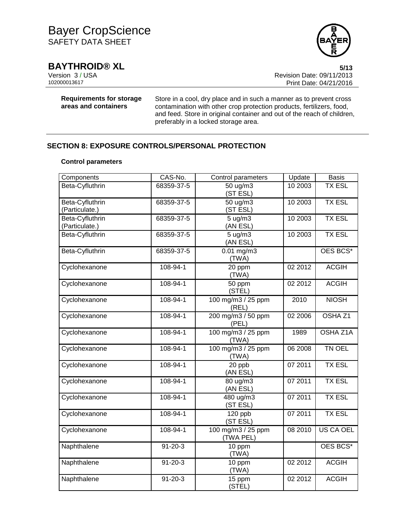

**BAYTHROID® XL**<br>Version 3/USA **5/13**<br>Revision Date: 09/11/2013 Version 3 / USA Revision Date: 09/11/2013 Print Date: 04/21/2016

**Requirements for storage areas and containers**

Store in a cool, dry place and in such a manner as to prevent cross contamination with other crop protection products, fertilizers, food, and feed. Store in original container and out of the reach of children, preferably in a locked storage area.

# **SECTION 8: EXPOSURE CONTROLS/PERSONAL PROTECTION**

#### **Control parameters**

| Components                        | CAS-No.        | Control parameters              | Update  | <b>Basis</b>       |
|-----------------------------------|----------------|---------------------------------|---------|--------------------|
| Beta-Cyfluthrin                   | 68359-37-5     | 50 ug/m3<br>(ST ESL)            | 10 2003 | <b>TX ESL</b>      |
| Beta-Cyfluthrin<br>(Particulate.) | 68359-37-5     | 50 ug/m3<br>(ST ESL)            | 10 2003 | <b>TX ESL</b>      |
| Beta-Cyfluthrin<br>(Particulate.) | 68359-37-5     | 5 ug/m3<br>(AN ESL)             | 10 2003 | <b>TX ESL</b>      |
| Beta-Cyfluthrin                   | 68359-37-5     | 5 ug/m3<br>(AN ESL)             | 10 2003 | <b>TX ESL</b>      |
| Beta-Cyfluthrin                   | 68359-37-5     | $0.01$ mg/m3<br>(TWA)           |         | OES BCS*           |
| Cyclohexanone                     | 108-94-1       | 20 ppm<br>(TWA)                 | 02 2012 | <b>ACGIH</b>       |
| Cyclohexanone                     | 108-94-1       | 50 ppm<br>(STEL)                | 02 2012 | <b>ACGIH</b>       |
| Cyclohexanone                     | 108-94-1       | 100 mg/m3 / 25 ppm<br>(REL)     | 2010    | <b>NIOSH</b>       |
| Cyclohexanone                     | 108-94-1       | 200 mg/m3 / 50 ppm<br>(PEL)     | 02 2006 | OSHA <sub>Z1</sub> |
| Cyclohexanone                     | $108 - 94 - 1$ | 100 mg/m3 / 25 ppm<br>(TWA)     | 1989    | OSHA Z1A           |
| Cyclohexanone                     | 108-94-1       | 100 mg/m3 / 25 ppm<br>(TWA)     | 06 2008 | TN OEL             |
| Cyclohexanone                     | $108 - 94 - 1$ | 20 ppb<br>(AN ESL)              | 07 2011 | <b>TX ESL</b>      |
| Cyclohexanone                     | 108-94-1       | 80 ug/m3<br>(AN ESL)            | 07 2011 | <b>TX ESL</b>      |
| Cyclohexanone                     | 108-94-1       | 480 ug/m3<br>(ST ESL)           | 07 2011 | <b>TX ESL</b>      |
| Cyclohexanone                     | 108-94-1       | 120 ppb<br>(ST ESL)             | 07 2011 | <b>TX ESL</b>      |
| Cyclohexanone                     | 108-94-1       | 100 mg/m3 / 25 ppm<br>(TWA PEL) | 08 2010 | <b>US CA OEL</b>   |
| Naphthalene                       | $91 - 20 - 3$  | 10 ppm<br>(TWA)                 |         | OES BCS*           |
| Naphthalene                       | $91 - 20 - 3$  | 10 ppm<br>(TWA)                 | 02 2012 | <b>ACGIH</b>       |
| Naphthalene                       | $91 - 20 - 3$  | 15 ppm<br>(STEL)                | 02 2012 | <b>ACGIH</b>       |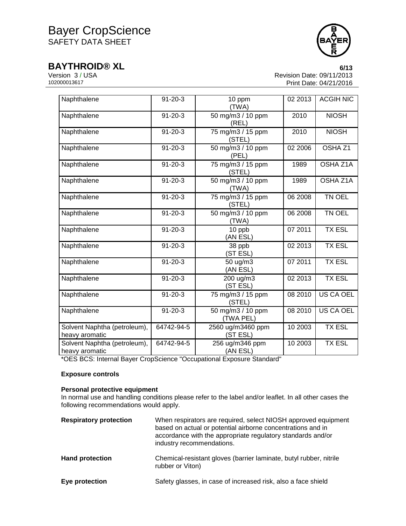

**BAYTHROID® XL**<br>Version 3/USA **6/13**<br>Revision Date: 09/11/2013 Version 3 / USA **Version 3 / USA Revision Date: 09/11/2013**<br>102000013617 Print Date: 04/21/2016 Print Date: 04/21/2016

| Naphthalene                                    | $91 - 20 - 3$ | 10 ppm<br>(TWA)                | 02 2013               | <b>ACGIH NIC</b>   |
|------------------------------------------------|---------------|--------------------------------|-----------------------|--------------------|
| Naphthalene                                    | $91 - 20 - 3$ | 50 mg/m3 / 10 ppm<br>(REL)     | 2010                  | <b>NIOSH</b>       |
| Naphthalene                                    | $91 - 20 - 3$ | 75 mg/m3 / 15 ppm<br>(STEL)    | 2010                  | <b>NIOSH</b>       |
| Naphthalene                                    | $91 - 20 - 3$ | 50 mg/m3 / 10 ppm<br>(PEL)     | $\overline{0}$ 2 2006 | OSHA <sub>Z1</sub> |
| Naphthalene                                    | $91 - 20 - 3$ | 75 mg/m3 / 15 ppm<br>(STEL)    | 1989                  | OSHA Z1A           |
| Naphthalene                                    | $91 - 20 - 3$ | 50 mg/m3 / 10 ppm<br>(TWA)     | 1989                  | OSHA Z1A           |
| Naphthalene                                    | $91 - 20 - 3$ | 75 mg/m3 / 15 ppm<br>(STEL)    | 06 2008               | TN OEL             |
| Naphthalene                                    | $91 - 20 - 3$ | 50 mg/m3 / 10 ppm<br>(TWA)     | 06 2008               | TN OEL             |
| Naphthalene                                    | $91 - 20 - 3$ | 10 ppb<br>(AN ESL)             | 07 2011               | <b>TX ESL</b>      |
| Naphthalene                                    | $91 - 20 - 3$ | 38 ppb<br>(ST ESL)             | 02 2013               | <b>TX ESL</b>      |
| Naphthalene                                    | $91 - 20 - 3$ | 50 ug/m3<br>(AN ESL)           | 07 2011               | <b>TX ESL</b>      |
| Naphthalene                                    | $91 - 20 - 3$ | 200 ug/m3<br>(ST ESL)          | 02 2013               | <b>TX ESL</b>      |
| Naphthalene                                    | $91 - 20 - 3$ | 75 mg/m3 / 15 ppm<br>(STEL)    | 08 2010               | <b>US CA OEL</b>   |
| Naphthalene                                    | $91 - 20 - 3$ | 50 mg/m3 / 10 ppm<br>(TWA PEL) | 08 2010               | <b>US CA OEL</b>   |
| Solvent Naphtha (petroleum),<br>heavy aromatic | 64742-94-5    | 2560 ug/m3460 ppm<br>(ST ESL)  | 10 2003               | <b>TX ESL</b>      |
| Solvent Naphtha (petroleum),<br>heavy aromatic | 64742-94-5    | 256 ug/m346 ppm<br>(AN ESL)    | 10 2003               | <b>TX ESL</b>      |

\*OES BCS: Internal Bayer CropScience "Occupational Exposure Standard"

## **Exposure controls**

#### **Personal protective equipment**

In normal use and handling conditions please refer to the label and/or leaflet. In all other cases the following recommendations would apply.

| <b>Respiratory protection</b> | When respirators are required, select NIOSH approved equipment<br>based on actual or potential airborne concentrations and in<br>accordance with the appropriate regulatory standards and/or<br>industry recommendations. |
|-------------------------------|---------------------------------------------------------------------------------------------------------------------------------------------------------------------------------------------------------------------------|
| <b>Hand protection</b>        | Chemical-resistant gloves (barrier laminate, butyl rubber, nitrile<br>rubber or Viton)                                                                                                                                    |
| Eye protection                | Safety glasses, in case of increased risk, also a face shield                                                                                                                                                             |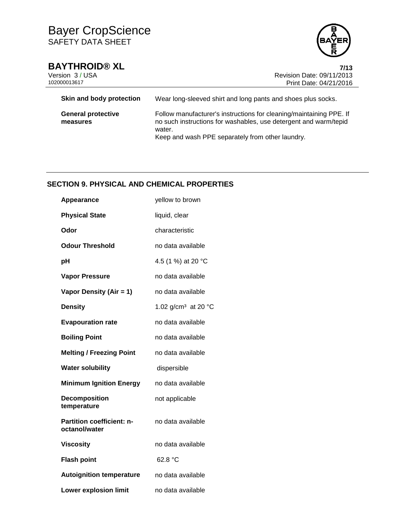

| <b>BAYTHROID® XL</b><br>Version 3 / USA<br>102000013617 | 7/13<br>Revision Date: 09/11/2013<br>Print Date: 04/21/2016                                                                                                                                           |
|---------------------------------------------------------|-------------------------------------------------------------------------------------------------------------------------------------------------------------------------------------------------------|
| Skin and body protection                                | Wear long-sleeved shirt and long pants and shoes plus socks.                                                                                                                                          |
| <b>General protective</b><br>measures                   | Follow manufacturer's instructions for cleaning/maintaining PPE. If<br>no such instructions for washables, use detergent and warm/tepid<br>water.<br>Keep and wash PPE separately from other laundry. |

# **SECTION 9. PHYSICAL AND CHEMICAL PROPERTIES**

| Appearance                                        | yellow to brown                           |
|---------------------------------------------------|-------------------------------------------|
| <b>Physical State</b>                             | liquid, clear                             |
| Odor                                              | characteristic                            |
| <b>Odour Threshold</b>                            | no data available                         |
| pH                                                | 4.5 (1 %) at 20 °C                        |
| <b>Vapor Pressure</b>                             | no data available                         |
| Vapor Density (Air = 1)                           | no data available                         |
| <b>Density</b>                                    | 1.02 g/cm <sup>3</sup> at 20 $^{\circ}$ C |
| <b>Evapouration rate</b>                          | no data available                         |
| <b>Boiling Point</b>                              | no data available                         |
| <b>Melting / Freezing Point</b>                   | no data available                         |
| <b>Water solubility</b>                           | dispersible                               |
| <b>Minimum Ignition Energy</b>                    | no data available                         |
| <b>Decomposition</b><br>temperature               | not applicable                            |
| <b>Partition coefficient: n-</b><br>octanol/water | no data available                         |
| <b>Viscosity</b>                                  | no data available                         |
| <b>Flash point</b>                                | 62.8 °C                                   |
| <b>Autoignition temperature</b>                   | no data available                         |
| <b>Lower explosion limit</b>                      | no data available                         |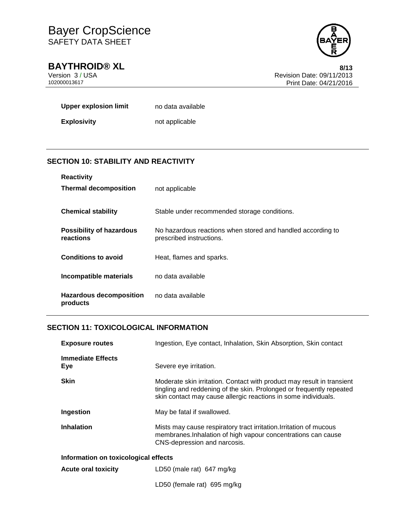

**BAYTHROID® XL**<br>Version 3/USA **8/13**<br>Revision Date: 09/11/2013 Version 3 / USA **Version 3 / USA Revision Date: 09/11/2013**<br>102000013617 Print Date: 04/21/2016 Print Date: 04/21/2016

**Upper explosion limit** no data available

**Explosivity** not applicable

# **SECTION 10: STABILITY AND REACTIVITY**

| <b>Reactivity</b>                          |                                                                                         |
|--------------------------------------------|-----------------------------------------------------------------------------------------|
| <b>Thermal decomposition</b>               | not applicable                                                                          |
| <b>Chemical stability</b>                  | Stable under recommended storage conditions.                                            |
| Possibility of hazardous<br>reactions      | No hazardous reactions when stored and handled according to<br>prescribed instructions. |
| <b>Conditions to avoid</b>                 | Heat, flames and sparks.                                                                |
| Incompatible materials                     | no data available                                                                       |
| <b>Hazardous decomposition</b><br>products | no data available                                                                       |

# **SECTION 11: TOXICOLOGICAL INFORMATION**

| <b>Exposure routes</b>               | Ingestion, Eye contact, Inhalation, Skin Absorption, Skin contact                                                                                                                                                |  |
|--------------------------------------|------------------------------------------------------------------------------------------------------------------------------------------------------------------------------------------------------------------|--|
| <b>Immediate Effects</b><br>Eye      | Severe eye irritation.                                                                                                                                                                                           |  |
| <b>Skin</b>                          | Moderate skin irritation. Contact with product may result in transient<br>tingling and reddening of the skin. Prolonged or frequently repeated<br>skin contact may cause allergic reactions in some individuals. |  |
| Ingestion                            | May be fatal if swallowed.                                                                                                                                                                                       |  |
| <b>Inhalation</b>                    | Mists may cause respiratory tract irritation. Irritation of mucous<br>membranes. Inhalation of high vapour concentrations can cause<br>CNS-depression and narcosis.                                              |  |
| Information on toxicological effects |                                                                                                                                                                                                                  |  |
| <b>Acute oral toxicity</b>           | LD50 (male rat) 647 mg/kg                                                                                                                                                                                        |  |

| ις υιαι ιυλινιιν | LDJU (male Tat) 047 my/Ny |  |
|------------------|---------------------------|--|
|                  |                           |  |

LD50 (female rat) 695 mg/kg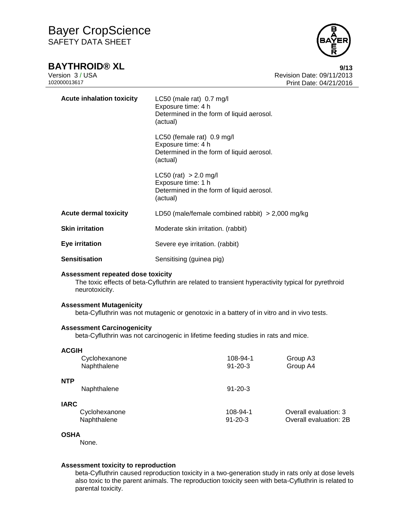# **BAYTHROID®** XL **9/13**



Version 3 / USA Revision Date: 09/11/2013<br>102000013617 Print Date: 04/21/2016 Print Date: 04/21/2016

| <b>Acute inhalation toxicity</b> | LC50 (male rat) $0.7 \text{ mg/l}$<br>Exposure time: 4 h<br>Determined in the form of liquid aerosol.<br>(actual) |
|----------------------------------|-------------------------------------------------------------------------------------------------------------------|
|                                  | LC50 (female rat) 0.9 mg/l<br>Exposure time: 4 h<br>Determined in the form of liquid aerosol.<br>(actual)         |
|                                  | $LC50$ (rat) > 2.0 mg/l<br>Exposure time: 1 h<br>Determined in the form of liquid aerosol.<br>(actual)            |
| <b>Acute dermal toxicity</b>     | LD50 (male/female combined rabbit) $>$ 2,000 mg/kg                                                                |
| <b>Skin irritation</b>           | Moderate skin irritation. (rabbit)                                                                                |
| Eye irritation                   | Severe eye irritation. (rabbit)                                                                                   |
| <b>Sensitisation</b>             | Sensitising (guinea pig)                                                                                          |

## **Assessment repeated dose toxicity**

The toxic effects of beta-Cyfluthrin are related to transient hyperactivity typical for pyrethroid neurotoxicity.

#### **Assessment Mutagenicity**

beta-Cyfluthrin was not mutagenic or genotoxic in a battery of in vitro and in vivo tests.

#### **Assessment Carcinogenicity**

beta-Cyfluthrin was not carcinogenic in lifetime feeding studies in rats and mice.

| <b>ACGIH</b> |               |               |                        |
|--------------|---------------|---------------|------------------------|
|              | Cyclohexanone | 108-94-1      | Group A3               |
|              | Naphthalene   | $91 - 20 - 3$ | Group A4               |
| NTP          | Naphthalene   | $91 - 20 - 3$ |                        |
| <b>IARC</b>  | Cyclohexanone | 108-94-1      | Overall evaluation: 3  |
|              | Naphthalene   | $91 - 20 - 3$ | Overall evaluation: 2B |

### **OSHA**

None.

### **Assessment toxicity to reproduction**

beta-Cyfluthrin caused reproduction toxicity in a two-generation study in rats only at dose levels also toxic to the parent animals. The reproduction toxicity seen with beta-Cyfluthrin is related to parental toxicity.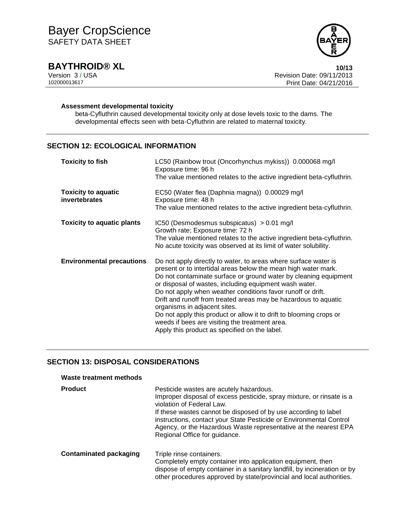

**BAYTHROID® XL 10/13**

Version 3 / USA Revision Date: 09/11/2013 Print Date: 04/21/2016

### **Assessment developmental toxicity**

beta-Cyfluthrin caused developmental toxicity only at dose levels toxic to the dams. The developmental effects seen with beta-Cyfluthrin are related to maternal toxicity.

# **SECTION 12: ECOLOGICAL INFORMATION**

| <b>Toxicity to fish</b>                            | LC50 (Rainbow trout (Oncorhynchus mykiss)) 0.000068 mg/l<br>Exposure time: 96 h<br>The value mentioned relates to the active ingredient beta-cyfluthrin.                                                                                                                                                                                                                                                                                                                                                                                                                                                    |
|----------------------------------------------------|-------------------------------------------------------------------------------------------------------------------------------------------------------------------------------------------------------------------------------------------------------------------------------------------------------------------------------------------------------------------------------------------------------------------------------------------------------------------------------------------------------------------------------------------------------------------------------------------------------------|
| <b>Toxicity to aquatic</b><br><i>invertebrates</i> | EC50 (Water flea (Daphnia magna)) 0.00029 mg/l<br>Exposure time: 48 h<br>The value mentioned relates to the active ingredient beta-cyfluthrin.                                                                                                                                                                                                                                                                                                                                                                                                                                                              |
| <b>Toxicity to aquatic plants</b>                  | IC50 (Desmodesmus subspicatus) $> 0.01$ mg/l<br>Growth rate; Exposure time: 72 h<br>The value mentioned relates to the active ingredient beta-cyfluthrin.<br>No acute toxicity was observed at its limit of water solubility.                                                                                                                                                                                                                                                                                                                                                                               |
| <b>Environmental precautions</b>                   | Do not apply directly to water, to areas where surface water is<br>present or to intertidal areas below the mean high water mark.<br>Do not contaminate surface or ground water by cleaning equipment<br>or disposal of wastes, including equipment wash water.<br>Do not apply when weather conditions favor runoff or drift.<br>Drift and runoff from treated areas may be hazardous to aquatic<br>organisms in adjacent sites.<br>Do not apply this product or allow it to drift to blooming crops or<br>weeds if bees are visiting the treatment area.<br>Apply this product as specified on the label. |

# **SECTION 13: DISPOSAL CONSIDERATIONS**

# **Waste treatment methods Product** Pesticide wastes are acutely hazardous. Improper disposal of excess pesticide, spray mixture, or rinsate is a violation of Federal Law. If these wastes cannot be disposed of by use according to label instructions, contact your State Pesticide or Environmental Control Agency, or the Hazardous Waste representative at the nearest EPA Regional Office for guidance. **Contaminated packaging** Triple rinse containers. Completely empty container into application equipment, then dispose of empty container in a sanitary landfill, by incineration or by other procedures approved by state/provincial and local authorities.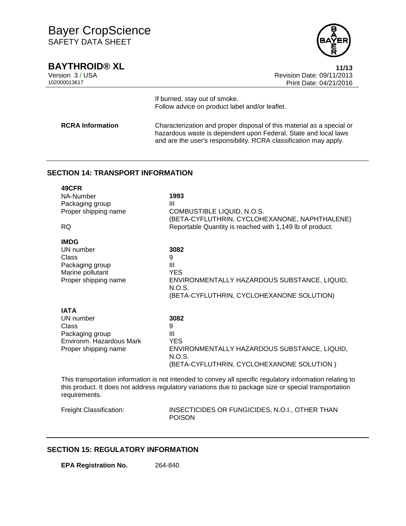**BAYTHROID® XL 11/13**



Version 3 / USA Revision Date: 09/11/2013 Print Date: 04/21/2016

> If burned, stay out of smoke. Follow advice on product label and/or leaflet.

**RCRA Information** Characterization and proper disposal of this material as a special or hazardous waste is dependent upon Federal, State and local laws and are the user's responsibility. RCRA classification may apply.

# **SECTION 14: TRANSPORT INFORMATION**

| 49CFR<br>NA-Number<br>Packaging group<br>Proper shipping name<br><b>RQ</b>                               | 1993<br>Ш<br>COMBUSTIBLE LIQUID, N.O.S.<br>(BETA-CYFLUTHRIN, CYCLOHEXANONE, NAPHTHALENE)<br>Reportable Quantity is reached with 1,149 lb of product. |
|----------------------------------------------------------------------------------------------------------|------------------------------------------------------------------------------------------------------------------------------------------------------|
| <b>IMDG</b><br>UN number<br>Class<br>Packaging group<br>Marine pollutant<br>Proper shipping name         | 3082<br>9<br>Ш<br><b>YES</b><br>ENVIRONMENTALLY HAZARDOUS SUBSTANCE, LIQUID,<br>N.O.S.<br>(BETA-CYFLUTHRIN, CYCLOHEXANONE SOLUTION)                  |
| <b>IATA</b><br>UN number<br>Class<br>Packaging group<br>Environm, Hazardous Mark<br>Proper shipping name | 3082<br>9<br>Ш<br><b>YES</b><br>ENVIRONMENTALLY HAZARDOUS SUBSTANCE, LIQUID,<br>N.O.S.<br>(BETA-CYFLUTHRIN, CYCLOHEXANONE SOLUTION)                  |

This transportation information is not intended to convey all specific regulatory information relating to this product. It does not address regulatory variations due to package size or special transportation requirements.

| <b>Freight Classification:</b> | INSECTICIDES OR FUNGICIDES, N.O.I., OTHER THAN |
|--------------------------------|------------------------------------------------|
|                                | <b>POISON</b>                                  |

# **SECTION 15: REGULATORY INFORMATION**

**EPA Registration No.** 264-840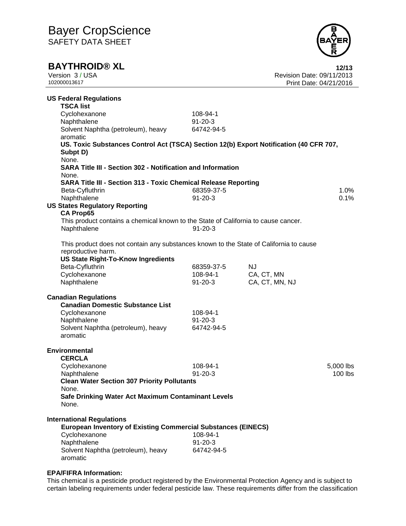

**BAYTHROID® XL**<br>Version 3/USA **12/13**<br>Revision Date: 09/11/2013 Version 3 / USA Revision Date: 09/11/2013 Print Date: 04/21/2016

| <b>US Federal Regulations</b><br><b>TSCA list</b>                                                            |                             |                |           |
|--------------------------------------------------------------------------------------------------------------|-----------------------------|----------------|-----------|
| Cyclohexanone                                                                                                | 108-94-1                    |                |           |
| Naphthalene                                                                                                  | $91 - 20 - 3$               |                |           |
| Solvent Naphtha (petroleum), heavy<br>aromatic                                                               | 64742-94-5                  |                |           |
| US. Toxic Substances Control Act (TSCA) Section 12(b) Export Notification (40 CFR 707,<br>Subpt D)           |                             |                |           |
| None.<br><b>SARA Title III - Section 302 - Notification and Information</b><br>None.                         |                             |                |           |
| <b>SARA Title III - Section 313 - Toxic Chemical Release Reporting</b>                                       |                             |                |           |
| Beta-Cyfluthrin                                                                                              | 68359-37-5                  |                | 1.0%      |
| Naphthalene                                                                                                  | $91 - 20 - 3$               |                | 0.1%      |
| <b>US States Regulatory Reporting</b><br><b>CA Prop65</b>                                                    |                             |                |           |
| This product contains a chemical known to the State of California to cause cancer.<br>Naphthalene            | $91 - 20 - 3$               |                |           |
|                                                                                                              |                             |                |           |
| This product does not contain any substances known to the State of California to cause<br>reproductive harm. |                             |                |           |
| <b>US State Right-To-Know Ingredients</b>                                                                    |                             |                |           |
| Beta-Cyfluthrin                                                                                              | 68359-37-5                  | NJ.            |           |
| Cyclohexanone                                                                                                | 108-94-1                    | CA, CT, MN     |           |
| Naphthalene                                                                                                  | 91-20-3                     | CA, CT, MN, NJ |           |
| <b>Canadian Regulations</b><br><b>Canadian Domestic Substance List</b>                                       |                             |                |           |
| Cyclohexanone                                                                                                | 108-94-1                    |                |           |
| Naphthalene                                                                                                  | $91 - 20 - 3$               |                |           |
| Solvent Naphtha (petroleum), heavy<br>aromatic                                                               | 64742-94-5                  |                |           |
| <b>Environmental</b><br><b>CERCLA</b>                                                                        |                             |                |           |
| Cyclohexanone                                                                                                | 108-94-1                    |                | 5,000 lbs |
| Naphthalene                                                                                                  | $91 - 20 - 3$               |                | 100 lbs   |
| <b>Clean Water Section 307 Priority Pollutants</b>                                                           |                             |                |           |
| None                                                                                                         |                             |                |           |
| Safe Drinking Water Act Maximum Contaminant Levels<br>None.                                                  |                             |                |           |
| <b>International Regulations</b>                                                                             |                             |                |           |
| <b>European Inventory of Existing Commercial Substances (EINECS)</b>                                         |                             |                |           |
| Cyclohexanone                                                                                                | 108-94-1                    |                |           |
| Naphthalene                                                                                                  | $91 - 20 - 3$<br>64742-94-5 |                |           |
| Solvent Naphtha (petroleum), heavy<br>aromatic                                                               |                             |                |           |

## **EPA/FIFRA Information:**

This chemical is a pesticide product registered by the Environmental Protection Agency and is subject to certain labeling requirements under federal pesticide law. These requirements differ from the classification